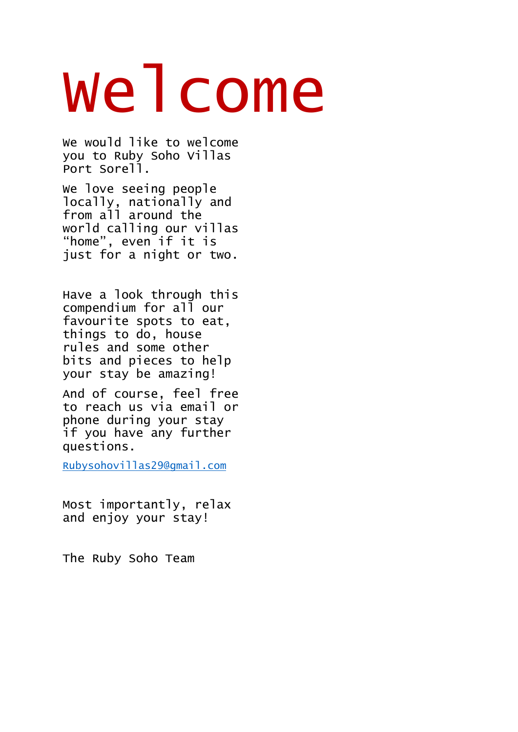# Welcome

We would like to welcome you to Ruby Soho Villas Port Sorell.

We love seeing people locally, nationally and from all around the world calling our villas "home", even if it is just for a night or two.

Have a look through this compendium for all our favourite spots to eat, things to do, house rules and some other bits and pieces to help your stay be amazing!

And of course, feel free to reach us via email or phone during your stay if you have any further questions.

[Rubysohovillas29@gmail.com](mailto:Rubysohovillas29@gmail.com)

Most importantly, relax and enjoy your stay!

The Ruby Soho Team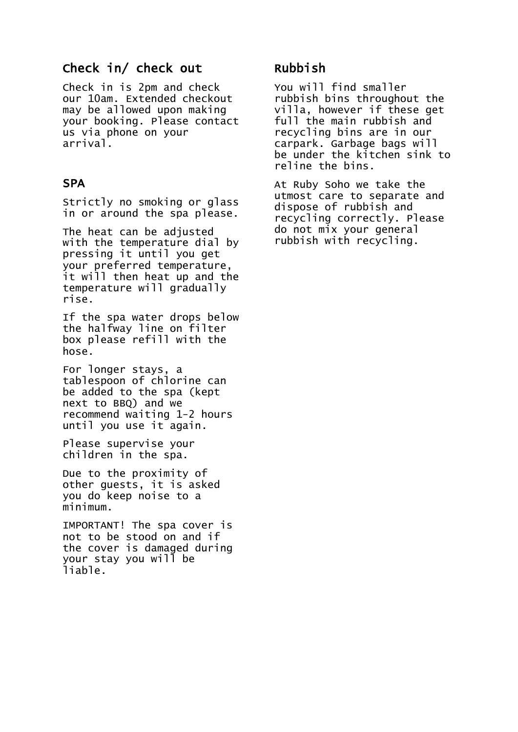#### Check in/ check out

Check in is 2pm and check our 10am. Extended checkout may be allowed upon making your booking. Please contact us via phone on your arrival.

#### **SPA**

Strictly no smoking or glass in or around the spa please.

The heat can be adjusted with the temperature dial by pressing it until you get your preferred temperature, it will then heat up and the temperature will gradually rise.

If the spa water drops below the halfway line on filter box please refill with the hose.

For longer stays, a tablespoon of chlorine can be added to the spa (kept next to BBQ) and we recommend waiting 1-2 hours until you use it again.

Please supervise your children in the spa.

Due to the proximity of other guests, it is asked you do keep noise to a minimum.

IMPORTANT! The spa cover is not to be stood on and if the cover is damaged during your stay you will be liable.

#### Rubbish

You will find smaller rubbish bins throughout the villa, however if these get full the main rubbish and recycling bins are in our carpark. Garbage bags will be under the kitchen sink to reline the bins.

At Ruby Soho we take the utmost care to separate and dispose of rubbish and recycling correctly. Please do not mix your general rubbish with recycling.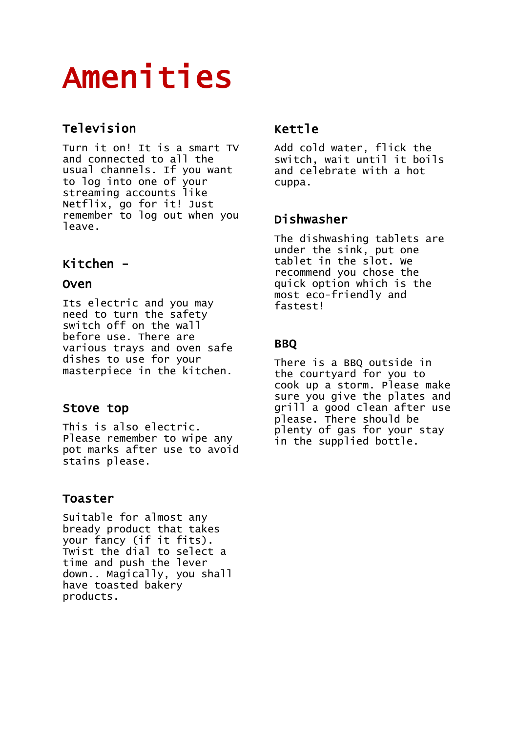## Amenities

#### Television

Turn it on! It is a smart TV and connected to all the usual channels. If you want to log into one of your streaming accounts like Netflix, go for it! Just remember to log out when you leave.

#### Kitchen -

#### Oven

Its electric and you may need to turn the safety switch off on the wall before use. There are various trays and oven safe dishes to use for your masterpiece in the kitchen.

#### Stove top

This is also electric. Please remember to wipe any pot marks after use to avoid stains please.

#### Toaster

Suitable for almost any bready product that takes your fancy (if it fits). Twist the dial to select a time and push the lever down.. Magically, you shall have toasted bakery products.

#### Kettle

Add cold water, flick the switch, wait until it boils and celebrate with a hot cuppa.

#### Dishwasher

The dishwashing tablets are under the sink, put one tablet in the slot. We recommend you chose the quick option which is the most eco-friendly and fastest!

#### BBQ

There is a BBQ outside in the courtyard for you to cook up a storm. Please make sure you give the plates and grill a good clean after use please. There should be plenty of gas for your stay in the supplied bottle.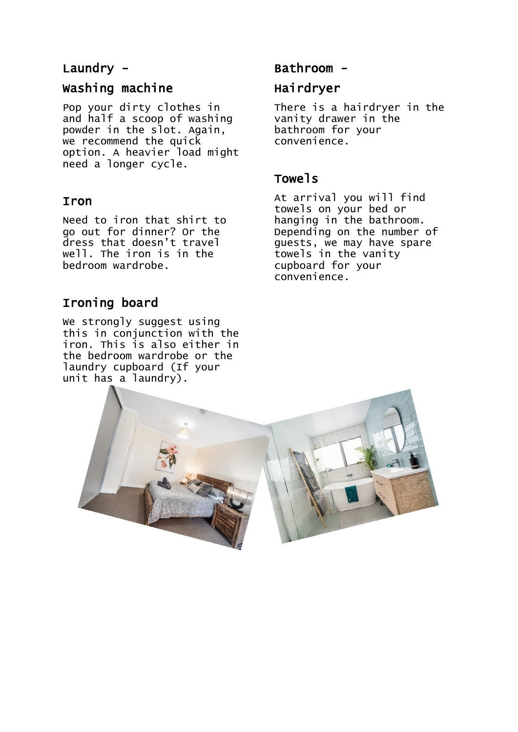#### Laundry -

#### Washing machine

Pop your dirty clothes in and half a scoop of washing powder in the slot. Again, we recommend the quick option. A heavier load might need a longer cycle.

#### Iron

Need to iron that shirt to go out for dinner? Or the dress that doesn't travel well. The iron is in the bedroom wardrobe.

#### Ironing board

We strongly suggest using this in conjunction with the iron. This is also either in the bedroom wardrobe or the laundry cupboard (If your unit has a laundry).

#### Bathroom -

#### **Hairdryer**

There is a hairdryer in the vanity drawer in the bathroom for your convenience.

#### Towels

At arrival you will find towels on your bed or hanging in the bathroom. Depending on the number of guests, we may have spare towels in the vanity cupboard for your convenience.

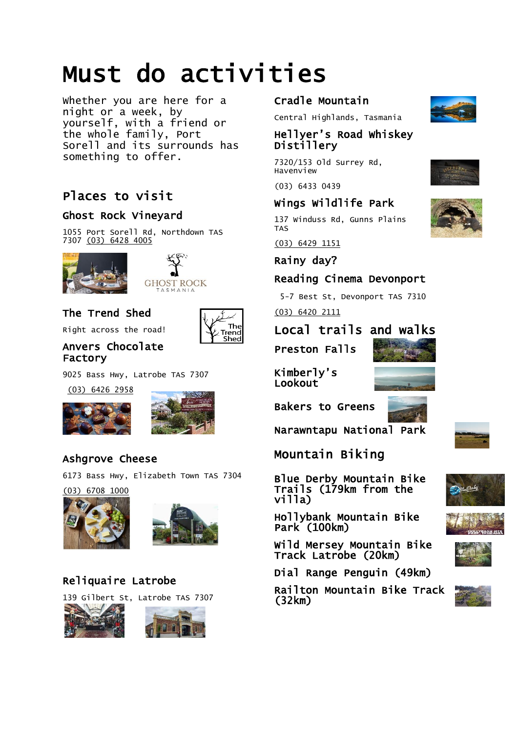### Must do activities

Whether you are here for a night or a week, by yourself, with a friend or the whole family, Port Sorell and its surrounds has something to offer.

#### Places to visit

#### Ghost Rock Vineyard

1055 Port Sorell Rd, Northdown TAS 7307 [\(03\) 6428 4005](https://www.google.com/search?q=ghost+rock+vineyard&rlz=1C1GCEA_enAU752AU752&oq=ghost+rock+vineyard&aqs=chrome..69i57j46i175i199j0l3j0i22i30l2.4098j0j15&sourceid=chrome&ie=UTF-8)





#### The Trend Shed

Right across the road!

#### Anvers Chocolate Factory

9025 Bass Hwy, Latrobe TAS 7307

 [\(03\) 6426 2958](https://www.google.com/search?q=anvers+chocolate&rlz=1C1GCEA_enAU752AU752&oq=anvers+chocolate&aqs=chrome..69i57j46i175i199j0l2j69i61.4325j0j15&sourceid=chrome&ie=UTF-8)





The Trend Shed

#### Ashgrove Cheese

6173 Bass Hwy, Elizabeth Town TAS 7304

[\(03\) 6708 1000](https://www.google.com/search?rlz=1C1GCEA_enAU752AU752&sxsrf=ALeKk013YLrWUa_Ku6Ff6JTq3U3UTRLOLw%3A1602577494394&ei=VmSFX4fIF8eb4-EPzoa6oA8&q=ashgrove+cheese&oq=ashgrove+cheese&gs_lcp=CgZwc3ktYWIQAzIOCC4QxwEQrwEQyQMQkwIyAggAMgIIADICCAAyAggAMgIIADICCAAyAggAMgIIADICCAA6DQguEMcBEK8BECcQkwI6BAgjECc6CgguEMcBEK8BEEM6BAgAEEM6CwguELEDEMcBEKMCOggIABCxAxCDAToFCAAQkQI6BQgAELEDOhAILhDHARCvARDJAxBDEJMCOgIILjoFCC4QsQM6CAguELEDEIMBOgQILhAKOgQIABAKOhAILhDHARCvARDJAxANEJMCOgQIABANUKuLAlj-pwJg4KgCaAFwAXgBgAHIAogB-RmSAQcwLjcuNi4ymAEAoAEBqgEHZ3dzLXdpesABAQ&sclient=psy-ab&ved=0ahUKEwiHy5yykrHsAhXHzTgGHU6DDvQQ4dUDCA0&uact=5) 





#### Reliquaire Latrobe

139 Gilbert St, Latrobe TAS 7307





#### Cradle Mountain

[Central Highlands,](https://www.google.com/search?sxsrf=ALeKk00KuRDyS74i8myBN6uDiDzo6xNTWA:1602650211444&q=Central+Highlands&stick=H4sIAAAAAAAAAONgVuLSz9U3MDEzK8zOW8Qq6JyaV1KUmKPgkZmekZOYl1IMAHgo1ygiAAAA&sa=X&ved=2ahUKEwjmnbWkobPsAhUXQH0KHYkoBcgQmxMoATAlegQIDxAD) [Tasmania](https://www.google.com/search?sxsrf=ALeKk00KuRDyS74i8myBN6uDiDzo6xNTWA:1602650211444&q=Tasmania&stick=H4sIAAAAAAAAAONgVuLQz9U3ME9Oq1jEyhGSWJybmJeZCABvhr5NFwAAAA&sa=X&ved=2ahUKEwjmnbWkobPsAhUXQH0KHYkoBcgQmxMoAjAlegQIDxAE) 

#### Hellyer's Road Whiskey Distillery

7320/153 Old Surrey Rd, Havenview

[\(03\) 6433 0439](https://www.google.com/search?sxsrf=ALeKk00KuRDyS74i8myBN6uDiDzo6xNTWA%3A1602650211444&ei=Y4CGX6bgGpeA9QOJ0ZTADA&q=hellyer+whiskey+distillery&oq=helleyer+whiskey+dist&gs_lcp=CgZwc3ktYWIQAxgAMgcIABDJAxANOgQIABBHOg0ILhDHARCvARAnEJMCOgoILhDHARCvARAnOgQIIxAnOgQILhBDOgoIABCxAxCDARBDOgsILhCxAxDHARCjAjoICAAQsQMQgwE6EQguEMcBEK8BEMkDEJECEJMCOgUILhCRAjoFCC4QsQM6DgguELEDEIMBEMcBEKMCOgUIABCxAzoCCC46DQguEMcBEK8BEEMQkwI6CgguEMcBEK8BEEM6BwguELEDEEM6BAgAEEM6CwguELEDEMcBEK8BOgoIABDJAxAUEIcCOg0ILhDHARCvARAUEIcCOgcIABCxAxBDOgQILhAKOhAILhDHARCvARDJAxBDEJMCOgQIABAKOgoILhDHARCvARAKOhAILhDHARCvARDJAxAKEJMCOgUIIRCgAToHCCEQChCgAToICAAQFhAKEB46EAguEMcBEK8BEMkDEA0QkwJQ340BWP7BAWCSywFoAHACeAGAAaQDiAH-KJIBCjAuNS4xMy4xLjKYAQCgAQGqAQdnd3Mtd2l6yAEIwAEB&sclient=psy-ab) 

#### Wings Wildlife Park

137 Winduss Rd, Gunns Plains TAS

[\(03\) 6429 1151](https://www.google.com/search?sxsrf=ALeKk02yMAvhY1-JWM9agZG28elgdsDiww%3A1602650238900&ei=foCGX8W7Npjz9QOx8pTYDQ&q=Wings+wildlife+park&oq=Wings+wildlife+park&gs_lcp=CgZwc3ktYWIQAzIOCC4QxwEQrwEQyQMQkwIyAggAMgIIADICCAAyAggAOg0ILhDHARCvARAnEJMCOgQIIxAnOgQIABBDOgQILhBDOgUIABCRAjoLCC4QsQMQxwEQowI6CAgAELEDEIMBOgoILhDHARCvARAnOgcIABDJAxBDOgoILhDHARCvARBDOgsILhDHARCvARCRAjoNCC4QxwEQowIQQxCTAjoLCC4QsQMQxwEQrwE6BwguELEDEEM6BQguELEDOggILhDHARCvAToOCC4QsQMQgwEQxwEQrwE6DgguEMcBEK8BEJECEJMCOgcIABAUEIcCOhEILhDHARCvARDJAxCRAhCTAjoCCC5Q1e0CWPuLA2DTjQNoAHABeACAAd8CiAGsIpIBCDAuNS4xMi4ymAEAoAEBqgEHZ3dzLXdpesABAQ&sclient=psy-ab&ved=0ahUKEwjF8sCxobPsAhWYeX0KHTE5BdsQ4dUDCA0&uact=5) 

Rainy day?

#### Reading Cinema Devonport

5-7 Best St, Devonport TAS 7310

[\(03\) 6420 2111](https://www.google.com/search?rlz=1C1GCEA_enAU752AU752&sxsrf=ALeKk02VCa_JX-w0EW4wazJJyvvtw-UFug%3A1602577638788&ei=5mSFX63LL66F4-EP2aW9kAk&q=Cinema+devonprt&oq=Cinema+devonprt&gs_lcp=CgZwc3ktYWIQAzIQCC4QxwEQrwEQyQMQDRCTAjIECAAQDToNCC4QxwEQrwEQJxCTAjoECCMQJzoLCC4QxwEQrwEQkQI6BAgAEEM6CwguELEDEMcBEKMCOgUIABCRAjoKCC4QxwEQowIQQzoKCC4QxwEQrwEQQzoECC4QQzoFCC4QsQM6DQgAELEDEIMBEMkDEEM6BwgAELEDEEM6CAgAELEDEIMBOgIIADoFCAAQsQM6DgguEMcBEK8BEJECEJMCOgIILjoICAAQsQMQyQM6BQgAEJIDOgcIABAUEIcCOggILhDHARCvAToRCC4QxwEQrwEQyQMQkQIQkwI6BggAEBYQHlCUngNYo8YDYJjIA2gCcAF4AIAB1QKIAZQgkgEIMC4zLjEyLjKYAQCgAQGqAQdnd3Mtd2l6wAEB&sclient=psy-ab&ved=0ahUKEwit1on3krHsAhWuwjgGHdlSD5IQ4dUDCA0&uact=5)

#### Local trails and walks

Preston Falls



Kimberly's Lookout

Bakers to Greens



Derby

Mountain Biking

Blue Derby Mountain Bike Trails (179km from the villa)



Wild Mersey Mountain Bike Track Latrobe (20km)

Dial Range Penguin (49km)

Railton Mountain Bike Track (32km)









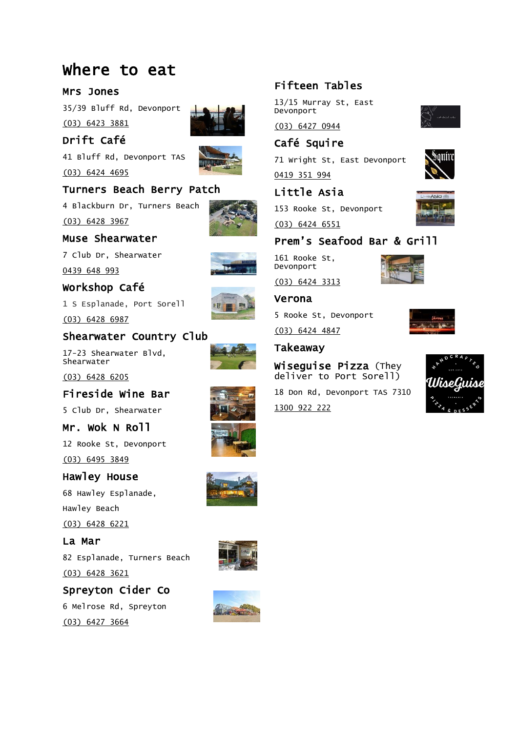#### Where to eat

#### Mrs Jones

35/39 Bluff Rd, Devonport [\(03\) 6423 3881](https://www.google.com/search?rlz=1C1GCEA_enAU752AU752&sxsrf=ALeKk011VjtQyv0DSStE9uQxZgZQEW1uuw%3A1602577566458&ei=nmSFX9bSG5GH4-EPyKCOwAk&q=mrs+jones+restaurant+bar+lounge&gs_ssp=eJwFwUsKgCAQAFDaBp0hN621pNE6QreYUROilPyEx--9fuCezzOB_Npbguj2STRERcZYAEBnDdAumhbLSlZuCkmj1ecxPimzKwaXWXK5YE0YCiNM7I41ePcDpMIcqQ&oq=mrs+jones+re&gs_lcp=CgZwc3ktYWIQARgAMg4ILhDHARCvARDJAxCTAjICCAAyCAguEMcBEK8BMgIIADICCAAyAgguMggILhDHARCvAToECCMQJzoLCC4QxwEQrwEQkQI6BQgAEJECOggIABCxAxCDAToFCAAQsQM6EQguEMcBEK8BEMkDEJECEJMCOgQILhBDOgsILhCxAxDHARCvAToICC4QsQMQgwE6BQguELEDOgUIABDJAzoLCC4QsQMQyQMQkwJQh-kBWJL5AWDhhgJoAHABeACAAfcEiAG4HZIBCTItNy40LjAuMZgBAKABAaoBB2d3cy13aXrAAQE&sclient=psy-ab) 

Drift Café 41 Bluff Rd, Devonport TAS

[\(03\) 6424 4695](https://www.google.com/search?rlz=1C1GCEA_enAU752AU752&sxsrf=ALeKk00n1i5HpUTd2ux7uAg8Qt3fw4jGnw%3A1602577631071&ei=32SFX6L8A4yQ4-EPwN6hcA&q=drift+cafe+devonport&gs_ssp=eJzj4tZP1zcsyTCvyrEwMWC0UjaoSEw0T0pOTjEzM0tMTUk2S7IyqEi1NEo1Sk5JTUw1MTAz9BJJKcpMK1FITkxLVUhJLcvPK8gvKgEAHR0XIA&oq=drift+cafe+devon&gs_lcp=CgZwc3ktYWIQAxgAMg4ILhDHARCvARDJAxCTAjICCAAyBggAEBYQHjIGCAAQFhAeMgYIABAWEB46BAgAEEc6BwgAEMkDEEM6CAguEMcBEK8BUMMfWOIlYMQyaABwAngAgAHiAYgB8wmSAQUwLjEuNZgBAKABAaoBB2d3cy13aXrIAQjAAQE&sclient=psy-ab)

#### Turners Beach Berry Patch



[\(03\) 6428 3967](https://www.google.com/search?rlz=1C1GCEA_enAU752AU752&sxsrf=ALeKk03KbrSpY4SwOJmQ1HY1RIC291Q-4A%3A1602577819782&ei=m2WFX_CuL4Sm9QPmqp9I&q=turners+beach+berry+patch&gs_ssp=eJzj4tZP1zcsSTEvyE4qMWC0UjWoSEw0T0pOSkszMU22TLFMTrEyqADyLMwtk5MsjZPTkk2SLbwkS0qL8lKLihWSUhOTM4BkUVGlQkFiSXIGAOzuGjo&oq=turners+be&gs_lcp=CgZwc3ktYWIQARgAMhEILhDHARCvARDJAxCRAhCTAjIHCAAQFBCHAjICCC4yAggAMgIIADICCC4yAggAMgIIADICCAAyAggAOgQIIxAnOg4ILhDHARCvARDJAxCRAjoLCC4QxwEQrwEQkQI6CAgAELEDEIMBOgsILhCxAxDHARCjAjoICC4QsQMQgwE6BAguEEM6BAgAEEM6BQgAELEDOg4ILhDHARCvARCRAhCTAjoHCC4QsQMQQzoFCC4QsQM6BQguEJECOggILhDHARCvAToECC4QCjoICC4QxwEQowJQ9fwEWKeIBWDTlAVoAHABeACAAfMCiAHKFZIBBTItNy4zmAEAoAEBqgEHZ3dzLXdpesABAQ&sclient=psy-ab)

Muse Shearwater

7 Club Dr, Shearwater [0439 648 993](https://www.google.com/search?gs_ssp=eJzj4tVP1zc0TCvOTspIz80xYLRSNahITDRPNEqzSE6xtEhMNTA0tjKoMDc0N09NTbUwSzRKMkhJMvXizy0tTlUozkhNLCpPLEktAgAEhRZf&q=muse+shearwater&rlz=1C1GCEA_enAU752AU752&oq=muse+shea&aqs=chrome.1.69i57j46i175i199j0i22i30l5.4028j0j15&sourceid=chrome&ie=UTF-8)

Workshop Café

1 S Esplanade, Port Sorell

[\(03\) 6428 6987](https://www.google.com/search?rlz=1C1GCEA_enAU752AU752&sxsrf=ALeKk00Ycut4b1qiiuADm0aYP1SC0VGf8g%3A1602645549922&ei=LW6GX9TlN9Dt9QPWur7gAQ&q=workshop+cafe+port+sorell&gs_ssp=eJzj4tVP1zc0zDBJSy-rtCg3YLRSNahITDRPNEqzNDVJNTc0skw0tDKoSDGxMDUxM7ZMSjK1NE6xMPOSLM8vyi7OyC9QSE5MS1UoyC8qUSjOL0rNyQEAv-EY9Q&oq=workshop+cafe+port&gs_lcp=CgZwc3ktYWIQARgAMg4ILhDHARCvARDJAxCTAjIGCAAQFhAeOhAILhDHARCvARDJAxAnEJMCOgQIABBDOhAILhDHARCvARDqAhAnEJMCOgcIIxDqAhAnOg0ILhDHARCvARDqAhAnOgQIIxAnOgoILhDHARCvARAnOgsILhDHARCvARCRAjoFCAAQkQI6CAgAELEDEIMBOgsILhCxAxDHARCjAjoOCC4QsQMQgwEQxwEQowI6DQguELEDEMcBEKMCEEM6BAguEEM6CgguEMcBEK8BEEM6AggAOgUIABCxAzoICAAQyQMQkQI6AgguOggILhDHARCjAjoICC4QxwEQrwE6CAgAEBYQChAeUMHzBFjsvQVg6McFaAFwAHgEgAHlAogBgzOSAQgwLjMuMTIuOZgBAKABAaoBB2d3cy13aXqwAQrAAQE&sclient=psy-ab)

Shearwater Country Club



[\(03\) 6428 6205](https://www.google.com/search?rlz=1C1GCEA_enAU752AU752&sxsrf=ALeKk017-WD4x6s7owyqezZGlBBPxx9AaA%3A1602645642498&ei=im6GX-qEHtiFyAOsjbcg&q=country+club+shearwater&gs_ssp=eJzj4tZP1zcsyUpLzkjJNWC0UjWoSEw0TzRKNbNMMbI0SLQwNrUyqLA0NLBMsTQxNkk2trQ0MbL0Ek_OL80rKapUSM4pTVIozkhNLCpPLEktAgBnCBep&oq=country+club+sh&gs_lcp=CgZwc3ktYWIQARgAMhMILhDHARCvARDJAxAUEIcCEJMCMggILhDHARCvATICCAAyAggAMgIIADICCAAyCAguEMcBEK8BMgIIADIICC4QxwEQrwEyAggAOgQIABBHOg0ILhDHARCvARAnEJMCOgoILhDHARCvARAnOgQIIxAnOgQIABBDOgUIABCRAjoLCC4QxwEQrwEQkQI6BAguEEM6CwguELEDEMcBEKMCOgoILhDHARCvARBDOhAILhCxAxCDARDHARCjAhBDOhAILhDHARCvARDJAxBDEJMCOgoILhDHARCjAhBDOgUILhCxAzoFCAAQsQM6BwgAEMkDEEM6DgguEMcBEK8BEJECEJMCUPL1AViSkgJgu54CaABwAngAgAG0AogBrR2SAQgwLjIuMTEuMpgBAKABAaoBB2d3cy13aXrIAQTAAQE&sclient=psy-ab)

Fireside Wine Bar 5 Club Dr, Shearwater Mr. Wok N Roll

12 Rooke St, Devonport [\(03\) 6495 3849](https://www.google.com/search?rlz=1C1GCEA_enAU752AU752&sxsrf=ALeKk00TG_N_LechNWdcC53KxhVu25WniA%3A1602646395510&ei=e3GGX6TYHsPE-gTr5aiABA&q=mr+wok+and+roll&oq=mr+wok+and+roll&gs_lcp=CgZwc3ktYWIQAzIOCC4QxwEQrwEQyQMQkwIyBggAEBYQHjIGCAAQFhAeMgYIABAWEB4yBggAEBYQHjIGCAAQFhAeMgYIABAWEB4yBggAEBYQHjIGCAAQFhAeMgYIABAWEB46DQguEMcBEK8BECcQkwI6BAgjECc6CgguEMcBEK8BECc6BwgAELEDEEM6BQgAELEDOgsILhCxAxDHARCjAjoECC4QQzoICAAQsQMQgwE6AggAOgoILhDHARCvARBDOgsILhCxAxDHARCvAToICC4QxwEQowI6CAguEMcBEK8BOhEILhDHARCvARDJAxCRAhCTAjoLCC4QxwEQrwEQkQI6BwguELEDEEM6DgguEMcBEK8BEJECEJMCOg0ILhDHARCvARAUEIcCOgoIABCxAxAUEIcCOgUILhCxAzoTCC4QxwEQrwEQyQMQFBCHAhCTAjoQCC4QxwEQrwEQyQMQDRCTAjoICAAQCBANEB5QgaACWJ68AmDKvQJoAXABeACAAcMDiAHhHZIBBzItMy40LjSYAQCgAQGqAQdnd3Mtd2l6wAEB&sclient=psy-ab&ved=0ahUKEwjkgeuIk7PsAhVDop4KHesyCkAQ4dUDCA0&uact=5) 

#### Hawley House 68 Hawley Esplanade, Hawley Beach

[\(03\) 6428 6221](https://www.google.com/search?rlz=1C1GCEA_enAU752AU752&sxsrf=ALeKk01lZ9K2jy0_a-ss60Vmwmv7-r1Z6g%3A1602646438071&ei=pnGGX5rGA9HY-gTB9LqoDA&q=hawley+house&oq=hawley+house&gs_lcp=CgZwc3ktYWIQAzIRCC4QxwEQrwEQyQMQkQIQkwIyAggAMgIIADICCAAyAgguMgIIADICCAAyAggAMgIIADICCAA6BQgAEJECOgsILhDHARCvARCRAjoKCC4QxwEQrwEQQzoLCC4QsQMQxwEQowI6CAgAELEDEIMBOgUIABCxAzoNCC4QxwEQrwEQQxCTAjoECAAQQzoECC4QQzoICAAQyQMQkQI6CwguELEDEMcBEK8BOgoILhCxAxAUEIcCOggILhDHARCvAToECAAQCjoICC4QsQMQgwFQoa8CWLO9AmC9vgJoAHABeAGAAbIEiAHCF5IBBzMtNy4wLjGYAQCgAQGqAQdnd3Mtd2l6wAEB&sclient=psy-ab&ved=0ahUKEwiasZCdk7PsAhVRrJ4KHUG6DsUQ4dUDCA0&uact=5) 

La Mar

82 Esplanade, Turners Beach [\(03\) 6428 3621](https://www.google.com/search?rlz=1C1GCEA_enAU752AU752&sxsrf=ALeKk00TO8gACGsTGSDBmt4MNYUen7bCig%3A1602646513164&ei=8XGGX4rLCcSwtgX4y7igBQ&q=la+mer+turners+beach&oq=la+mer+turners+beach&gs_lcp=CgZwc3ktYWIQAzoECCMQJzoFCAAQyQM6AggAOggILhDHARCvAToCCC46BggAEBYQHjoICAAQFhAKEB5QlBdY7SNgyCVoAHAAeACAAfwDiAHpIJIBBzMtOC4yLjGYAQCgAQGqAQdnd3Mtd2l6wAEB&sclient=psy-ab&ved=0ahUKEwjKh_jAk7PsAhVEmK0KHfglDlQQ4dUDCA0&uact=5)

Spreyton Cider Co 6 Melrose Rd, Spreyton [\(03\) 6427 3664](https://www.google.com/search?rlz=1C1GCEA_enAU752AU752&sxsrf=ALeKk01nrtn3YT4JKwRf1YARShqIfG4rzA%3A1602646519748&ei=93GGX_2XLZHusQW7rangDg&q=spreyton+cider+co&oq=spreyton+cider+co&gs_lcp=CgZwc3ktYWIQAzIOCC4QxwEQrwEQyQMQkwIyBwgAEBQQhwIyBggAEBYQHjIGCAAQFhAeMgYIABAWEB4yBwgAEBQQhwI6BAgjECc6CgguEMcBEK8BECc6DgguEMcBEK8BEMkDEJECOgUILhCRAjoICC4QxwEQowI6CAgAELEDEIMBOgUIABCxAzoLCC4QxwEQrwEQkQI6BAgAEEM6BAguEEM6CggAELEDEIMBEEM6CgguEMcBEKMCEEM6DQguEMcBEK8BECcQkwI6CAguEMcBEK8BOgUILhCxAzoHCC4QsQMQQzoHCAAQsQMQQzoCCC46AggAOgQIABAKOhEILhDHARCvARDJAxCRAhCTAjoQCC4QxwEQrwEQyQMQDRCTAjoECAAQDToGCAAQDRAeUIv8AVipnAJg_50CaAJwAXgDgAGNBIgBrjeSAQkyLTEuOC44LjGYAQCgAQGqAQdnd3Mtd2l6wAEB&sclient=psy-ab&ved=0ahUKEwi974nEk7PsAhURd6wKHbtWCuwQ4dUDCA0&uact=5) 





13/15 Murray St, East Devonport

[\(03\) 6427 0944](https://www.google.com/search?rlz=1C1GCEA_enAU752AU752&sxsrf=ALeKk00-HWpwajhj1F2sIgKVhwxLsiUvqw%3A1602645742886&ei=7m6GX9vQNdre9QPs9pagCg&q=fifteen+tables&oq=fifteen+tables&gs_lcp=CgZwc3ktYWIQAzIOCC4QxwEQrwEQyQMQkwIyAggAMgIIADICCAAyBggAEBYQHjIGCAAQFhAeOg0ILhDHARCvARAnEJMCOgQIIxAnOgQIABBDOgoILhDHARCvARBDOgoIABCxAxCDARBDOhEILhDHARCvARDJAxCRAhCTAjoICC4QsQMQgwE6CAguEMcBEK8BOgIILjoNCC4QxwEQrwEQFBCHAjoHCAAQFBCHAjoFCC4QsQM6EwguEMcBEK8BEMkDEBQQhwIQkwI6CAguEMkDEJMCUKmgDljRrQ5gr68OaABwAHgBgAHmAogBtRqSAQgwLjIuMTAuMpgBAKABAaoBB2d3cy13aXrAAQE&sclient=psy-ab&ved=0ahUKEwjb_9HRkLPsAhVab30KHWy7BaQQ4dUDCA0&uact=5) 

#### Café Squire

71 Wright St, East Devonport

[0419 351 994](https://www.google.com/search?rlz=1C1GCEA_enAU752AU752&sxsrf=ALeKk01hjdnNg0Yy9Pdn14G4C_zI3zxqqA%3A1602645979440&ei=22-GX464Goee9QPktLSAAQ&q=squire+east+devonport&oq=squire+east+&gs_lcp=CgZwc3ktYWIQAxgAMgkIABDJAxAWEB4yBggAEBYQHjIGCAAQFhAeMgYIABAWEB4yBggAEBYQHjIGCAAQFhAeMgYIABAWEB4yBggAEBYQHjIGCAAQFhAeMggIABAWEAoQHjoNCC4QxwEQrwEQJxCTAjoECCMQJzoOCC4QxwEQrwEQyQMQkQI6CwguEMcBEK8BEJECOggILhDHARCjAjoICAAQsQMQgwE6BQgAELEDOggIABDJAxCRAjoECAAQQzoLCC4QsQMQxwEQowI6DgguELEDEIMBEMcBEK8BOgIIADoCCC46BggAEAoQQzoHCAAQsQMQQzoNCC4QsQMQyQMQQxCTAjoICC4QxwEQrwE6EQguELEDEMcBEKMCEMkDEJMCOg4ILhDHARCjAhDJAxCTAjoFCAAQyQM6BAgAEAo6DgguEMcBEK8BEMkDEJMCUJXcBFic6gRgo_MEaABwAXgAgAG_AogB4BWSAQcwLjMuNy4ymAEAoAEBqgEHZ3dzLXdpesABAQ&sclient=psy-ab) 

Little Asia

153 Rooke St, Devonport

[\(03\) 6424 6551](https://www.google.com/search?rlz=1C1GCEA_enAU752AU752&sxsrf=ALeKk01a1reqaQGevQ-tTHJ48uOzuRA6_g%3A1602646061072&ei=LXCGX6jsA4KS9QPn0rOgCg&q=little+asia+devonport&oq=little+asia+devonport&gs_lcp=CgZwc3ktYWIQAzILCC4QxwEQrwEQkwIyBggAEAcQHjICCAAyBAgAEB4yBAgAEB5Qn-YBWPbwAWDd8gFoAHABeACAAfgBiAGZEJIBBTAuOC4zmAEAoAEBqgEHZ3dzLXdpesABAQ&sclient=psy-ab&ved=0ahUKEwjotq7pkbPsAhUCSX0KHWfpDKQQ4dUDCA0&uact=5)

#### Prem's Seafood Bar & Grill

161 Rooke St, Devonport

[\(03\) 6424 3313](https://www.google.com/search?rlz=1C1GCEA_enAU752AU752&sxsrf=ALeKk01CltqXPVRSsRCNzY_G1G7OHdqQbg%3A1602646093416&ei=TXCGX53mGMSb9QPm2bK4Bg&q=prems+seafood+bar+and+grill+menu&oq=PREMS+S&gs_lcp=CgZwc3ktYWIQAxgAMggIABDJAxCRAjICCAAyCAguEMcBEK8BMggILhDHARCvATICCAAyAggAOgQIIxAnOgoILhDHARCvARAnOgUIABCRAjoNCC4QsQMQxwEQowIQQzoOCC4QsQMQgwEQxwEQowI6BQgAELEDOhAILhDHARCvARDqAhAnEJMCOgcIIxDqAhAnOg0ILhDHARCvARDqAhAnOgQILhBDOgcILhCxAxBDOgoILhDHARCjAhBDOgcIABCxAxBDOgQIABBDOgQIABAKUJrBAlj4pQxgoq8MaANwAXgCgAGDBIgB5RKSAQswLjEuNS4wLjEuMZgBAKABAaoBB2d3cy13aXqwAQrAAQE&sclient=psy-ab) 

Verona

5 Rooke St, Devonport

[\(03\) 6424 4847](https://www.google.com/search?rlz=1C1GCEA_enAU752AU752&sxsrf=ALeKk01WAztPD6Z2yEnJTABh8SQ4vpIhhg%3A1602646297774&ei=GXGGX9TfLoPx-gTW0bioCA&q=verona+devonport&gs_ssp=eJzj4tVP1zc0TLdIyYsvzMk1YLRSNahITDRPNDY2tjBPtLQ0tjROszKosDBOMU0xNjMyNjc1SjQ0NPcSKEstys9LVEhJLcvPK8gvKgEA5EEVYQ&oq=verona+&gs_lcp=CgZwc3ktYWIQARgAMhEILhDHARCvARDJAxCRAhCTAjIFCAAQkQIyCgguEMcBEK8BEEMyBQguELEDMgIILjIICC4QxwEQrwEyCAguEMcBEK8BMggILhDHARCvATICCC4yAggAOggIABCxAxCDAToLCC4QsQMQxwEQowI6DgguELEDEIMBEMcBEKMCOg0ILhDHARCjAhBDEJMCOgsILhDHARCvARCRAjoECAAQQzoFCAAQsQM6EAguELEDEIMBEMcBEKMCEEM6BwgAELEDEEM6CwguELEDEMcBEK8BOggILhDHARCjAjoHCC4QsQMQQzoECC4QQ1Ca0wVYsNgFYNzuBWgAcAF4AIAB1wKIAYQRkgEFMi0yLjWYAQCgAQGqAQdnd3Mtd2l6wAEB&sclient=psy-ab)

#### Takeaway

Wiseguise Pizza (They deliver to Port Sorell) 18 Don Rd, Devonport TAS 7310 [1300 922 222](https://www.google.com/search?rlz=1C1GCEA_enAU752AU752&sxsrf=ALeKk01dMLDfRfKL5So9BK4IXRnaHhm61w%3A1602577698354&ei=ImWFX5ijFe-f4-EP1u6o4AQ&q=wise+guise+devonport&oq=wise+guise+devonport&gs_lcp=CgZwc3ktYWIQAzIQCC4QxwEQrwEQyQMQChCTAjIICAAQFhAKEB4yCAgAEBYQChAeOgQIIxAnOgoILhDHARCvARAnOgUIABCRAjoLCC4QsQMQxwEQowI6CAgAELEDEIMBOgUIABCxAzoICC4QsQMQgwE6CwguEMkDEJECEJMCOgsILhDHARCvARCRAjoHCC4QsQMQQzoECAAQQzoCCAA6EQguEMcBEK8BEMkDEJECEJMCOg0ILhCxAxDHARCjAhBDOgUILhCxAzoICC4QxwEQrwE6CwguELEDEMcBEK8BOgQILhBDOgIILjoECAAQCjoOCC4QxwEQrwEQyQMQkwI6DQguEMcBEK8BEBQQhwI6EwguEMcBEK8BEMkDEBQQhwIQkwI6EAguEMcBEK8BEMkDEA0QkwI6EAguEMcBEK8BEOoCECcQkwI6BwgjEOoCECc6DQguEMcBEK8BEOoCECc6DQguEMcBEK8BECcQkwI6CgguEMcBEKMCECc6CAgAEMkDEJECOgcIABCxAxBDOg4ILhCxAxCDARDHARCjAjoKCC4QyQMQQxCTAjoICAAQsQMQyQM6BQgAEMkDOgoILhDHARCvARAKOgQIABANOgYIABANEB46CAgAEA0QBRAeOggIABAIEA0QHjoHCAAQyQMQDToHCAAQyQMQClC-_wRYlKoHYLarB2gUcAB4AoABjwOIAatHkgEJMC4xNy4yMS4zmAEAoAEBqgEHZ3dzLXdperABCsABAQ&sclient=psy-ab&ved=0ahUKEwiYvL2Tk7HsAhXvzzgGHVY3CkwQ4dUDCA0&uact=5)